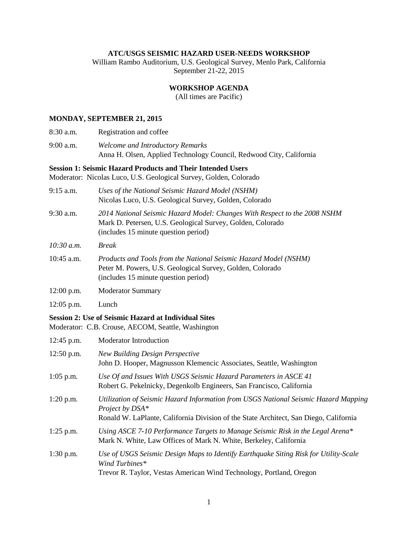#### **ATC/USGS SEISMIC HAZARD USER-NEEDS WORKSHOP**

William Rambo Auditorium, U.S. Geological Survey, Menlo Park, California September 21-22, 2015

## **WORKSHOP AGENDA**

(All times are Pacific)

### **MONDAY, SEPTEMBER 21, 2015**

| 8:30 a.m. | Registration and coffee                                             |
|-----------|---------------------------------------------------------------------|
| 9:00 a.m. | Welcome and Introductory Remarks                                    |
|           | Anna H. Olsen, Applied Technology Council, Redwood City, California |

#### **Session 1: Seismic Hazard Products and Their Intended Users**

Moderator: Nicolas Luco, U.S. Geological Survey, Golden, Colorado

| $9:15$ a.m.  | Uses of the National Seismic Hazard Model (NSHM)<br>Nicolas Luco, U.S. Geological Survey, Golden, Colorado                                                                      |
|--------------|---------------------------------------------------------------------------------------------------------------------------------------------------------------------------------|
| 9:30 a.m.    | 2014 National Seismic Hazard Model: Changes With Respect to the 2008 NSHM<br>Mark D. Petersen, U.S. Geological Survey, Golden, Colorado<br>(includes 15 minute question period) |
| 10:30 a.m.   | <b>Break</b>                                                                                                                                                                    |
| 10:45 a.m.   | Products and Tools from the National Seismic Hazard Model (NSHM)<br>Peter M. Powers, U.S. Geological Survey, Golden, Colorado<br>(includes 15 minute question period)           |
| $12:00$ p.m. | <b>Moderator Summary</b>                                                                                                                                                        |
| $12:05$ p.m. | Lunch                                                                                                                                                                           |
|              | <b>Session 2: Use of Seismic Hazard at Individual Sites</b><br>Moderator: C.B. Crouse, AECOM, Seattle, Washington                                                               |
| 12:45 p.m.   | Moderator Introduction                                                                                                                                                          |
| $12:50$ p.m. | <b>New Building Design Perspective</b><br>John D. Hooper, Magnusson Klemencic Associates, Seattle, Washington                                                                   |
| $1:05$ p.m.  | Use Of and Issues With USGS Seismic Hazard Parameters in ASCE 41<br>Robert G. Pekelnicky, Degenkolb Engineers, San Francisco, California                                        |
| $1:20$ p.m.  | Utilization of Seismic Hazard Information from USGS National Seismic Hazard Mapping<br>Project by DSA*                                                                          |

- Ronald W. LaPlante, California Division of the State Architect, San Diego, California
- 1:25 p.m. *Using ASCE 7-10 Performance Targets to Manage Seismic Risk in the Legal Arena\** Mark N. White, Law Offices of Mark N. White, Berkeley, California
- 1:30 p.m. *Use of USGS Seismic Design Maps to Identify Earthquake Siting Risk for Utility-Scale Wind Turbines\** Trevor R. Taylor, Vestas American Wind Technology, Portland, Oregon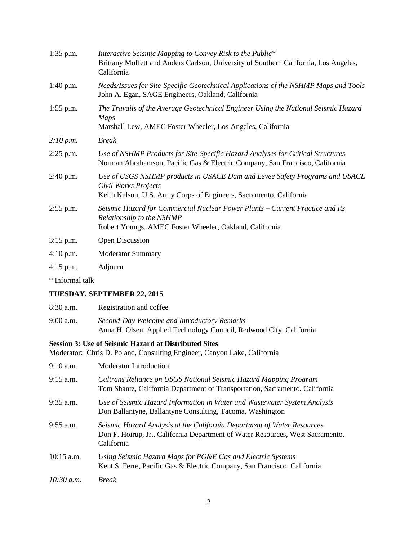| $1:35$ p.m.     | Interactive Seismic Mapping to Convey Risk to the Public*<br>Brittany Moffett and Anders Carlson, University of Southern California, Los Angeles,<br>California           |
|-----------------|---------------------------------------------------------------------------------------------------------------------------------------------------------------------------|
| $1:40$ p.m.     | Needs/Issues for Site-Specific Geotechnical Applications of the NSHMP Maps and Tools<br>John A. Egan, SAGE Engineers, Oakland, California                                 |
| $1:55$ p.m.     | The Travails of the Average Geotechnical Engineer Using the National Seismic Hazard<br><b>Maps</b><br>Marshall Lew, AMEC Foster Wheeler, Los Angeles, California          |
| 2:10 p.m.       | <b>Break</b>                                                                                                                                                              |
| $2:25$ p.m.     | Use of NSHMP Products for Site-Specific Hazard Analyses for Critical Structures<br>Norman Abrahamson, Pacific Gas & Electric Company, San Francisco, California           |
| $2:40$ p.m.     | Use of USGS NSHMP products in USACE Dam and Levee Safety Programs and USACE<br>Civil Works Projects<br>Keith Kelson, U.S. Army Corps of Engineers, Sacramento, California |
| $2:55$ p.m.     | Seismic Hazard for Commercial Nuclear Power Plants – Current Practice and Its<br>Relationship to the NSHMP<br>Robert Youngs, AMEC Foster Wheeler, Oakland, California     |
| $3:15$ p.m.     | <b>Open Discussion</b>                                                                                                                                                    |
| 4:10 p.m.       | <b>Moderator Summary</b>                                                                                                                                                  |
| $4:15$ p.m.     | Adjourn                                                                                                                                                                   |
| * Informal talk |                                                                                                                                                                           |

# **TUESDAY, SEPTEMBER 22, 2015**

| $8:30$ a.m. | Registration and coffee                                                                                            |
|-------------|--------------------------------------------------------------------------------------------------------------------|
| $9:00$ a.m. | Second-Day Welcome and Introductory Remarks<br>Anna H. Olsen, Applied Technology Council, Redwood City, California |

# **Session 3: Use of Seismic Hazard at Distributed Sites**

Moderator: Chris D. Poland, Consulting Engineer, Canyon Lake, California

| $9:10$ a.m. | <b>Moderator Introduction</b>                                                                                                                                           |
|-------------|-------------------------------------------------------------------------------------------------------------------------------------------------------------------------|
| $9:15$ a.m. | Caltrans Reliance on USGS National Seismic Hazard Mapping Program<br>Tom Shantz, California Department of Transportation, Sacramento, California                        |
| $9:35$ a.m. | Use of Seismic Hazard Information in Water and Wastewater System Analysis<br>Don Ballantyne, Ballantyne Consulting, Tacoma, Washington                                  |
| $9:55$ a.m. | Seismic Hazard Analysis at the California Department of Water Resources<br>Don F. Hoirup, Jr., California Department of Water Resources, West Sacramento,<br>California |
| 10:15 a.m.  | Using Seismic Hazard Maps for PG&E Gas and Electric Systems<br>Kent S. Ferre, Pacific Gas & Electric Company, San Francisco, California                                 |
| 10:30 a.m.  | <b>Break</b>                                                                                                                                                            |